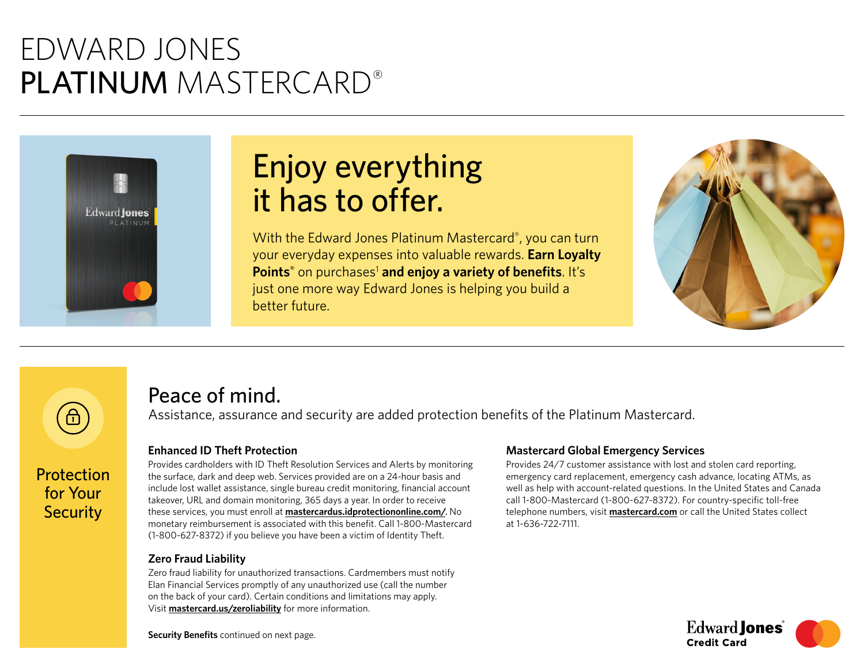## EDWARD JONES PLATINUM MASTERCARD®



Protection for Your **Security** 

∂

# Enjoy everything it has to offer.

With the Edward Jones Platinum Mastercard®, you can turn your everyday expenses into valuable rewards. **Earn Loyalty**  Points<sup>®</sup> on purchases<sup>1</sup> and enjoy a variety of benefits. It's just one more way Edward Jones is helping you build a better future.



### Peace of mind.

Assistance, assurance and security are added protection benefits of the Platinum Mastercard.

### **Enhanced ID Theft Protection**

Provides cardholders with ID Theft Resolution Services and Alerts by monitoring the surface, dark and deep web. Services provided are on a 24-hour basis and include lost wallet assistance, single bureau credit monitoring, financial account takeover, URL and domain monitoring, 365 days a year. In order to receive these services, you must enroll at **[mastercardus.idprotectiononline.com/](https://mastercardus.idprotectiononline.com/)**. No monetary reimbursement is associated with this benefit. Call 1-800-Mastercard (1-800-627-8372) if you believe you have been a victim of Identity Theft.

### **Zero Fraud Liability**

Zero fraud liability for unauthorized transactions. Cardmembers must notify Elan Financial Services promptly of any unauthorized use (call the number on the back of your card). Certain conditions and limitations may apply. Visit **[mastercard.us/zeroliability](https://www.mastercard.us/zeroliability)** for more information.

#### **Mastercard Global Emergency Services**

Provides 24/7 customer assistance with lost and stolen card reporting, emergency card replacement, emergency cash advance, locating ATMs, as well as help with account-related questions. In the United States and Canada call 1-800-Mastercard (1-800-627-8372). For country-specific toll-free telephone numbers, visit **[mastercard.com](https://www.mastercard.com)** or call the United States collect at 1-636-722-7111.



**Security Benefits** continued on next page.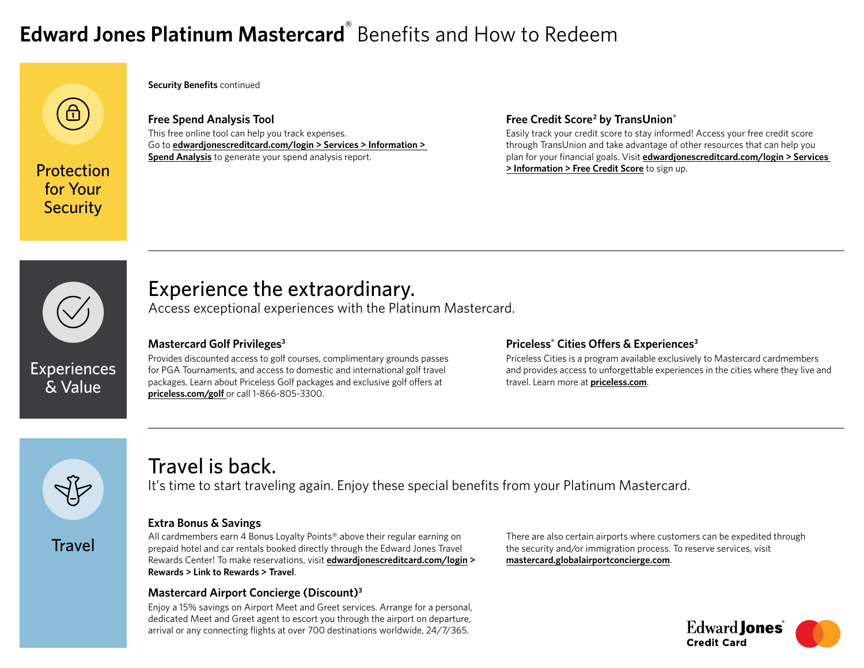## **Edward Jones Platinum Mastercard**® Benefits and How to Redeem

for Your **Security** 

**Security Benefits** continued

**Free Spend Analysis Tool** This free online tool can help you track expenses. Go to **[edwardjonescreditcard.com/login](https://www.edwardjonescreditcard.com/login) > Services > Information > Spend Analysis** to generate your spend analysis report.

#### **Free Credit Score2 by TransUnion®**

Easily track your credit score to stay informed! Access your free credit score through TransUnion and take advantage of other resources that can help you plan for your financial goals. Visit **[edwardjonescreditcard.com/login](https://www.edwardjonescreditcard.com/login) > Services Protection Protection 1** 



**Experiences** & Value

### Experience the extraordinary.

Access exceptional experiences with the Platinum Mastercard.

### **Mastercard Golf Privileges3**

Provides discounted access to golf courses, complimentary grounds passes for PGA Tournaments, and access to domestic and international golf travel packages. Learn about Priceless Golf packages and exclusive golf offers at **[priceless.com/golf](https://www.priceless.com/golf)** or call 1-866-805-3300.

### **Priceless® Cities Offers & Experiences3**

Priceless Cities is a program available exclusively to Mastercard cardmembers and provides access to unforgettable experiences in the cities where they live and travel. Learn more at **[priceless.com](https://www.priceless.com)**.



**Travel** 

### Travel is back.

It's time to start traveling again. Enjoy these special benefits from your Platinum Mastercard.

#### **Extra Bonus & Savings**

All cardmembers earn 4 Bonus Loyalty Points<sup>®</sup> above their regular earning on prepaid hotel and car rentals booked directly through the Edward Jones Travel Rewards Center! To make reservations, visit **[edwardjonescreditcard.com/login](https://www.edwardjonescreditcard.com/login) > Rewards > Link to Rewards > Travel**.

### **Mastercard Airport Concierge (Discount)3**

Enjoy a 15% savings on Airport Meet and Greet services. Arrange for a personal, dedicated Meet and Greet agent to escort you through the airport on departure, arrival or any connecting flights at over 700 destinations worldwide, 24/7/365.

There are also certain airports where customers can be expedited through the security and/or immigration process. To reserve services, visit **[mastercard.globalairportconcierge.com](https://mastercard.globalairportconcierge.com)**.